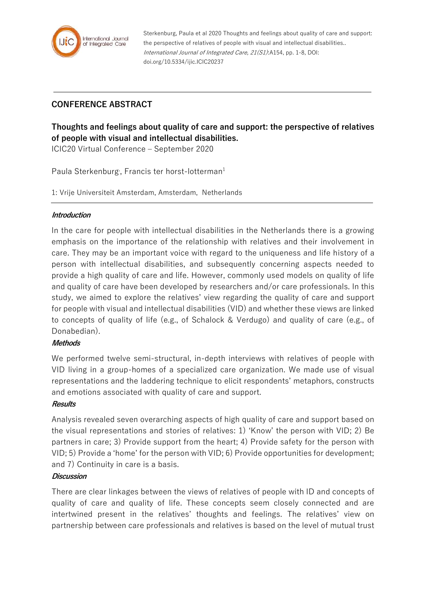

Sterkenburg, Paula et al 2020 Thoughts and feelings about quality of care and support: the perspective of relatives of people with visual and intellectual disabilities.. International Journal of Integrated Care, 21(S1):A154, pp. 1-8, DOI: doi.org/10.5334/ijic.ICIC20237

## **CONFERENCE ABSTRACT**

# **Thoughts and feelings about quality of care and support: the perspective of relatives of people with visual and intellectual disabilities.**

ICIC20 Virtual Conference – September 2020

Paula Sterkenburg, Francis ter horst-lotterman<sup>1</sup>

1: Vrije Universiteit Amsterdam, Amsterdam, Netherlands

#### **Introduction**

In the care for people with intellectual disabilities in the Netherlands there is a growing emphasis on the importance of the relationship with relatives and their involvement in care. They may be an important voice with regard to the uniqueness and life history of a person with intellectual disabilities, and subsequently concerning aspects needed to provide a high quality of care and life. However, commonly used models on quality of life and quality of care have been developed by researchers and/or care professionals. In this study, we aimed to explore the relatives' view regarding the quality of care and support for people with visual and intellectual disabilities (VID) and whether these views are linked to concepts of quality of life (e.g., of Schalock & Verdugo) and quality of care (e.g., of Donabedian).

## **Methods**

We performed twelve semi-structural, in-depth interviews with relatives of people with VID living in a group-homes of a specialized care organization. We made use of visual representations and the laddering technique to elicit respondents' metaphors, constructs and emotions associated with quality of care and support.

#### **Results**

Analysis revealed seven overarching aspects of high quality of care and support based on the visual representations and stories of relatives: 1) 'Know' the person with VID; 2) Be partners in care; 3) Provide support from the heart; 4) Provide safety for the person with VID; 5) Provide a 'home' for the person with VID; 6) Provide opportunities for development; and 7) Continuity in care is a basis.

#### **Discussion**

There are clear linkages between the views of relatives of people with ID and concepts of quality of care and quality of life. These concepts seem closely connected and are intertwined present in the relatives' thoughts and feelings. The relatives' view on partnership between care professionals and relatives is based on the level of mutual trust